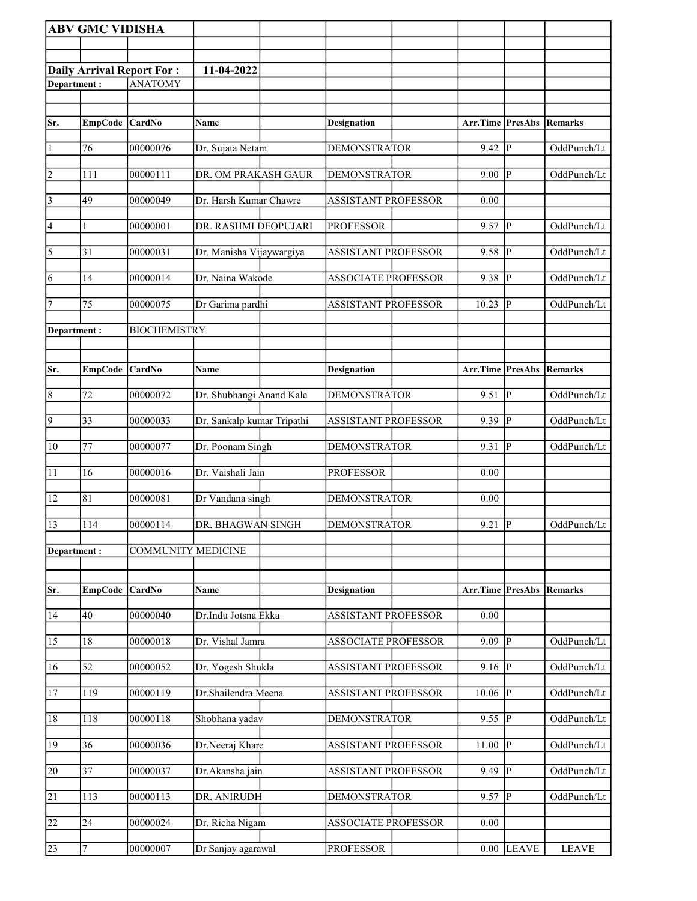|                 | <b>ABV GMC VIDISHA</b> |                                  |                            |                            |          |                         |              |
|-----------------|------------------------|----------------------------------|----------------------------|----------------------------|----------|-------------------------|--------------|
|                 |                        |                                  |                            |                            |          |                         |              |
|                 |                        | <b>Daily Arrival Report For:</b> | 11-04-2022                 |                            |          |                         |              |
| Department:     |                        | <b>ANATOMY</b>                   |                            |                            |          |                         |              |
|                 |                        |                                  |                            |                            |          |                         |              |
| Sr.             | EmpCode CardNo         |                                  | Name                       | <b>Designation</b>         | Arr.Time | PresAbs                 | Remarks      |
|                 |                        |                                  |                            |                            |          |                         |              |
| $\vert$ 1       | 76                     | 00000076                         | Dr. Sujata Netam           | <b>DEMONSTRATOR</b>        | 9.42     | P                       | OddPunch/Lt  |
| $\overline{2}$  | 111                    | 00000111                         | DR. OM PRAKASH GAUR        | <b>DEMONSTRATOR</b>        | 9.00     | P                       | OddPunch/Lt  |
|                 |                        |                                  |                            |                            |          |                         |              |
| $\vert$ 3       | 49                     | 00000049                         | Dr. Harsh Kumar Chawre     | <b>ASSISTANT PROFESSOR</b> | 0.00     |                         |              |
| $\vert 4 \vert$ | 1                      | 00000001                         | DR. RASHMI DEOPUJARI       | <b>PROFESSOR</b>           | 9.57     | $\mathbf{P}$            | OddPunch/Lt  |
| $\overline{5}$  | 31                     | 00000031                         | Dr. Manisha Vijaywargiya   | <b>ASSISTANT PROFESSOR</b> | 9.58     | $\mathbf{P}$            | OddPunch/Lt  |
|                 |                        |                                  |                            |                            |          |                         |              |
| 6               | 14                     | 00000014                         | Dr. Naina Wakode           | <b>ASSOCIATE PROFESSOR</b> | 9.38     | P                       | OddPunch/Lt  |
| 7               | 75                     | 00000075                         | Dr Garima pardhi           | <b>ASSISTANT PROFESSOR</b> | 10.23    | P                       | OddPunch/Lt  |
| Department:     |                        | <b>BIOCHEMISTRY</b>              |                            |                            |          |                         |              |
|                 |                        |                                  |                            |                            |          |                         |              |
|                 |                        |                                  |                            |                            |          |                         |              |
| Sr.             | <b>EmpCode</b>         | <b>CardNo</b>                    | <b>Name</b>                | <b>Designation</b>         | Arr.Time | <b>PresAbs</b>          | Remarks      |
| $\vert 8$       | 72                     | 00000072                         | Dr. Shubhangi Anand Kale   | <b>DEMONSTRATOR</b>        | 9.51     | P                       | OddPunch/Lt  |
| $\overline{9}$  | 33                     | 00000033                         | Dr. Sankalp kumar Tripathi | <b>ASSISTANT PROFESSOR</b> | 9.39     | P                       | OddPunch/Lt  |
|                 |                        |                                  |                            |                            |          |                         |              |
| $ 10\rangle$    | 77                     | 00000077                         | Dr. Poonam Singh           | <b>DEMONSTRATOR</b>        | 9.31     | P                       | OddPunch/Lt  |
| 11              | 16                     | 00000016                         | Dr. Vaishali Jain          | <b>PROFESSOR</b>           | 0.00     |                         |              |
| 12              | 81                     | 00000081                         | Dr Vandana singh           | <b>DEMONSTRATOR</b>        | 0.00     |                         |              |
|                 |                        |                                  |                            |                            |          |                         |              |
| 13              | 114                    | 00000114                         | DR. BHAGWAN SINGH          | <b>DEMONSTRATOR</b>        | 9.21     | $\overline{\mathbb{P}}$ | OddPunch/Lt  |
| Department:     |                        | <b>COMMUNITY MEDICINE</b>        |                            |                            |          |                         |              |
|                 |                        |                                  |                            |                            |          |                         |              |
| Sr.             | <b>EmpCode</b>         | CardNo                           | Name                       | <b>Designation</b>         | Arr.Time | <b>PresAbs Remarks</b>  |              |
|                 |                        |                                  |                            |                            |          |                         |              |
| 14              | 40                     | 00000040                         | Dr.Indu Jotsna Ekka        | <b>ASSISTANT PROFESSOR</b> | 0.00     |                         |              |
| 15              | 18                     | 00000018                         | Dr. Vishal Jamra           | <b>ASSOCIATE PROFESSOR</b> | 9.09     | ${\bf P}$               | OddPunch/Lt  |
| 16              | 52                     | 00000052                         | Dr. Yogesh Shukla          | <b>ASSISTANT PROFESSOR</b> | 9.16     | $\mathbf{P}$            | OddPunch/Lt  |
|                 |                        |                                  |                            |                            |          |                         |              |
| 17              | 119                    | 00000119                         | Dr.Shailendra Meena        | <b>ASSISTANT PROFESSOR</b> | 10.06    | P                       | OddPunch/Lt  |
| 18              | 118                    | 00000118                         | Shobhana yadav             | <b>DEMONSTRATOR</b>        | 9.55     | P                       | OddPunch/Lt  |
| 19              | 36                     | 00000036                         | Dr.Neeraj Khare            | <b>ASSISTANT PROFESSOR</b> | 11.00    | P                       | OddPunch/Lt  |
|                 |                        |                                  |                            |                            |          |                         |              |
| 20              | $\overline{37}$        | 00000037                         | Dr. Akansha jain           | <b>ASSISTANT PROFESSOR</b> | 9.49     | ${\bf P}$               | OddPunch/Lt  |
| 21              | 113                    | 00000113                         | DR. ANIRUDH                | <b>DEMONSTRATOR</b>        | 9.57     | $\mathbf{P}$            | OddPunch/Lt  |
|                 |                        |                                  |                            |                            |          |                         |              |
| 22              | 24                     | 00000024                         | Dr. Richa Nigam            | <b>ASSOCIATE PROFESSOR</b> | 0.00     |                         |              |
| 23              | 7                      | 00000007                         | Dr Sanjay agarawal         | <b>PROFESSOR</b>           | $0.00\,$ | <b>LEAVE</b>            | <b>LEAVE</b> |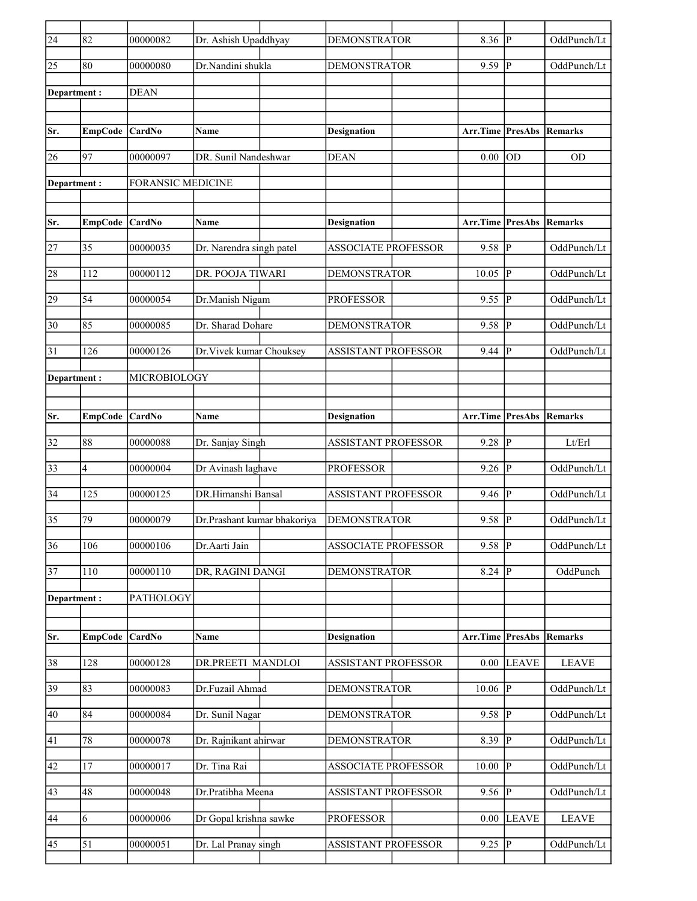| $\overline{24}$ | 82             | 00000082                 | Dr. Ashish Upaddhyay        | <b>DEMONSTRATOR</b>        | 8.36                            | P                      | OddPunch/Lt  |
|-----------------|----------------|--------------------------|-----------------------------|----------------------------|---------------------------------|------------------------|--------------|
| 25              | 80             | 00000080                 | Dr.Nandini shukla           | <b>DEMONSTRATOR</b>        | 9.59                            | P                      | OddPunch/Lt  |
| Department:     |                | <b>DEAN</b>              |                             |                            |                                 |                        |              |
|                 |                |                          |                             |                            |                                 |                        |              |
| Sr.             | <b>EmpCode</b> | <b>CardNo</b>            | Name                        | <b>Designation</b>         | Arr.Time                        | PresAbs                | Remarks      |
| 26              | 97             | 00000097                 | DR. Sunil Nandeshwar        | <b>DEAN</b>                | 0.00                            | OD                     | <b>OD</b>    |
| Department:     |                | <b>FORANSIC MEDICINE</b> |                             |                            |                                 |                        |              |
| Sr.             | EmpCode CardNo |                          | <b>Name</b>                 | <b>Designation</b>         | <b>Arr.Time PresAbs Remarks</b> |                        |              |
| 27              | 35             | 00000035                 | Dr. Narendra singh patel    | <b>ASSOCIATE PROFESSOR</b> | 9.58                            | P                      | OddPunch/Lt  |
|                 |                |                          |                             | <b>DEMONSTRATOR</b>        | 10.05                           | P                      |              |
| 28              | 112            | 00000112                 | DR. POOJA TIWARI            |                            |                                 |                        | OddPunch/Lt  |
| 29              | 54             | 00000054                 | Dr.Manish Nigam             | <b>PROFESSOR</b>           | 9.55                            | P                      | OddPunch/Lt  |
| 30              | 85             | 00000085                 | Dr. Sharad Dohare           | <b>DEMONSTRATOR</b>        | 9.58                            | P                      | OddPunch/Lt  |
| 31              | 126            | 00000126                 | Dr. Vivek kumar Chouksey    | <b>ASSISTANT PROFESSOR</b> | 9.44                            | P                      | OddPunch/Lt  |
| Department:     |                | MICROBIOLOGY             |                             |                            |                                 |                        |              |
|                 |                |                          |                             |                            |                                 |                        |              |
| Sr.             | EmpCode CardNo |                          | <b>Name</b>                 | <b>Designation</b>         | Arr.Time                        | <b>PresAbs Remarks</b> |              |
| 32              | 88             | 00000088                 | Dr. Sanjay Singh            | <b>ASSISTANT PROFESSOR</b> | 9.28                            | P                      | Lt/Erl       |
| 33              | 4              | 00000004                 | Dr Avinash laghave          | <b>PROFESSOR</b>           | 9.26                            | P                      | OddPunch/Lt  |
| 34              | 125            | 00000125                 | DR.Himanshi Bansal          | <b>ASSISTANT PROFESSOR</b> | 9.46                            | P                      | OddPunch/Lt  |
| 35              | 79             | 00000079                 | Dr.Prashant kumar bhakoriya | <b>DEMONSTRATOR</b>        | 9.58                            | P                      | OddPunch/Lt  |
| $\overline{36}$ | 106            | 00000106                 | Dr.Aarti Jain               | <b>ASSOCIATE PROFESSOR</b> | 9.58                            | $\overline{P}$         | OddPunch/Lt  |
| 37              | $110\,$        | 00000110                 | DR, RAGINI DANGI            | <b>DEMONSTRATOR</b>        | 8.24                            | P                      | OddPunch     |
| Department:     |                | PATHOLOGY                |                             |                            |                                 |                        |              |
|                 |                |                          |                             |                            |                                 |                        |              |
| Sr.             | <b>EmpCode</b> | CardNo                   | Name                        | <b>Designation</b>         | Arr.Time                        | <b>PresAbs</b>         | Remarks      |
| 38              | 128            | 00000128                 | DR.PREETI MANDLOI           | ASSISTANT PROFESSOR        | 0.00                            | <b>LEAVE</b>           | <b>LEAVE</b> |
| 39              | 83             | 00000083                 | Dr.Fuzail Ahmad             | <b>DEMONSTRATOR</b>        | 10.06                           | $\mathbf{P}$           | OddPunch/Lt  |
| 40              | 84             | 00000084                 | Dr. Sunil Nagar             | <b>DEMONSTRATOR</b>        | 9.58                            | P                      | OddPunch/Lt  |
| 41              | 78             | 00000078                 | Dr. Rajnikant ahirwar       | <b>DEMONSTRATOR</b>        | 8.39                            | ΙP                     | OddPunch/Lt  |
| 42              | 17             | 00000017                 | Dr. Tina Rai                | <b>ASSOCIATE PROFESSOR</b> | 10.00                           | $\mathbf P$            | OddPunch/Lt  |
| 43              | 48             | 00000048                 | Dr.Pratibha Meena           | ASSISTANT PROFESSOR        | 9.56                            | ${\bf P}$              | OddPunch/Lt  |
| 44              | 6              | 00000006                 | Dr Gopal krishna sawke      | <b>PROFESSOR</b>           | 0.00                            | <b>LEAVE</b>           | <b>LEAVE</b> |
| 45              | 51             | 00000051                 | Dr. Lal Pranay singh        | <b>ASSISTANT PROFESSOR</b> | 9.25                            | $\mathbf{P}$           | OddPunch/Lt  |
|                 |                |                          |                             |                            |                                 |                        |              |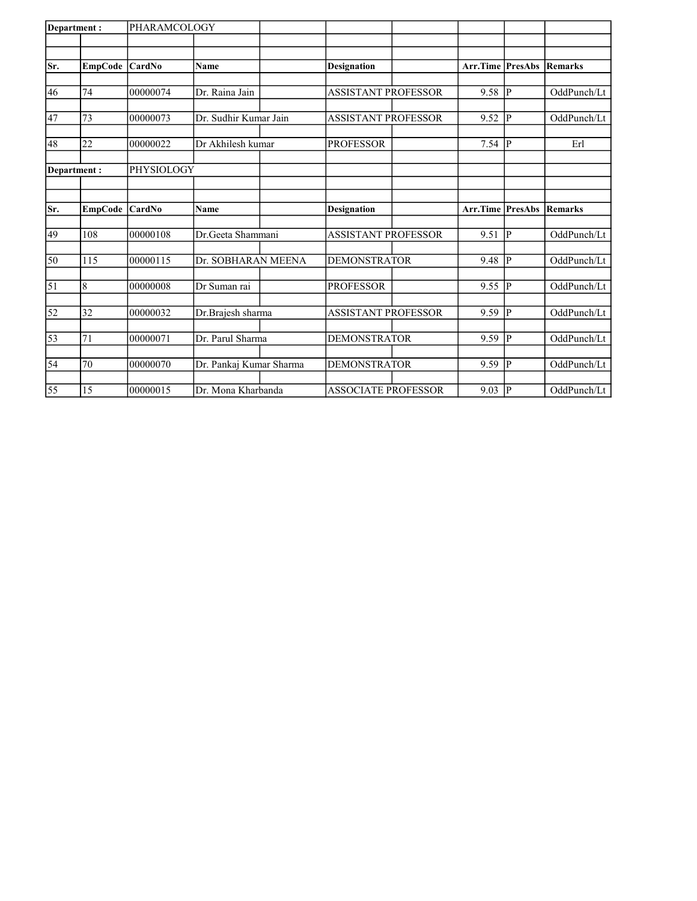| Department:     |             | PHARAMCOLOGY |                         |                            |          |                |                |
|-----------------|-------------|--------------|-------------------------|----------------------------|----------|----------------|----------------|
|                 |             |              |                         |                            |          |                |                |
| Sr.             | EmpCode     | CardNo       | <b>Name</b>             | <b>Designation</b>         | Arr.Time | <b>PresAbs</b> | <b>Remarks</b> |
|                 |             |              |                         |                            |          |                |                |
| 46              | 74          | 00000074     | Dr. Raina Jain          | <b>ASSISTANT PROFESSOR</b> | 9.58     | p              | OddPunch/Lt    |
|                 |             |              |                         |                            |          |                |                |
| 47              | 73          | 00000073     | Dr. Sudhir Kumar Jain   | <b>ASSISTANT PROFESSOR</b> | 9.52     | P              | OddPunch/Lt    |
| 48              | 22          | 00000022     | Dr Akhilesh kumar       | <b>PROFESSOR</b>           | 7.54     | P              | Erl            |
|                 |             |              |                         |                            |          |                |                |
|                 | Department: | PHYSIOLOGY   |                         |                            |          |                |                |
|                 |             |              |                         |                            |          |                |                |
| Sr.             | EmpCode     | CardNo       | <b>Name</b>             | <b>Designation</b>         | Arr.Time | PresAbs        | <b>Remarks</b> |
| 49              | 108         | 00000108     | Dr.Geeta Shammani       | <b>ASSISTANT PROFESSOR</b> | 9.51     | P              | OddPunch/Lt    |
|                 |             |              |                         |                            |          |                |                |
| 50              | 115         | 00000115     | Dr. SOBHARAN MEENA      | <b>DEMONSTRATOR</b>        | 9.48     | P              | OddPunch/Lt    |
|                 |             |              |                         |                            |          |                |                |
| $\vert$ 51      | 8           | 00000008     | Dr Suman rai            | <b>PROFESSOR</b>           | 9.55     | IР             | OddPunch/Lt    |
| $\overline{52}$ | 32          | 00000032     | Dr.Brajesh sharma       | <b>ASSISTANT PROFESSOR</b> | 9.59     | <b>P</b>       | OddPunch/Lt    |
|                 |             |              |                         |                            |          |                |                |
| 53              | 71          | 00000071     | Dr. Parul Sharma        | <b>DEMONSTRATOR</b>        | 9.59     | IР             | OddPunch/Lt    |
| 54              | 70          | 00000070     | Dr. Pankaj Kumar Sharma | <b>DEMONSTRATOR</b>        | 9.59     | IР             | OddPunch/Lt    |
|                 |             |              |                         |                            |          |                |                |
| 55              | 15          | 00000015     | Dr. Mona Kharbanda      | <b>ASSOCIATE PROFESSOR</b> | 9.03     | P              | OddPunch/Lt    |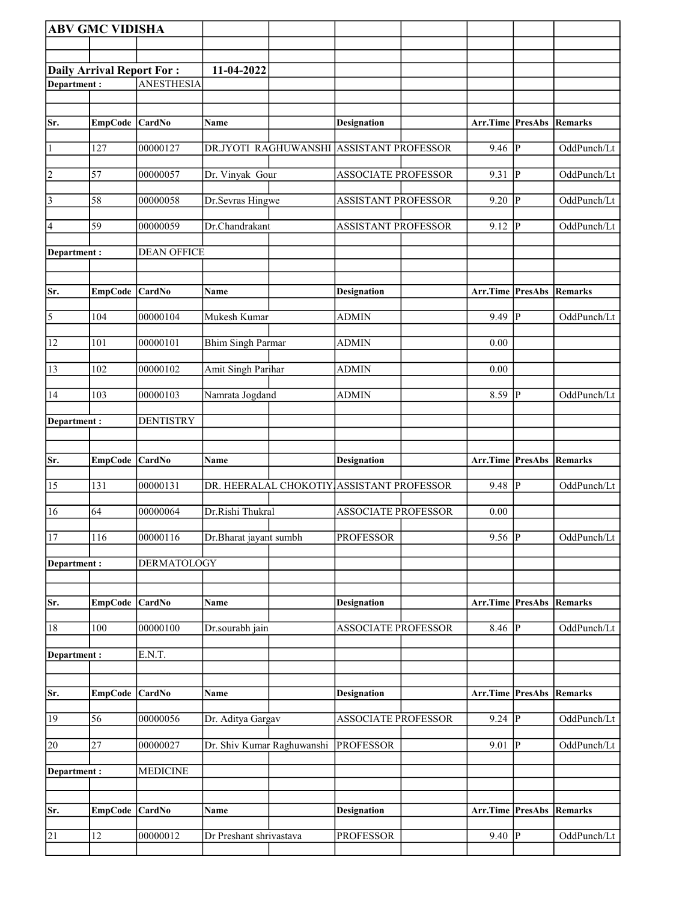|               | <b>ABV GMC VIDISHA</b>           |                    |                            |                                           |                                 |              |             |
|---------------|----------------------------------|--------------------|----------------------------|-------------------------------------------|---------------------------------|--------------|-------------|
|               |                                  |                    |                            |                                           |                                 |              |             |
|               | <b>Daily Arrival Report For:</b> |                    | 11-04-2022                 |                                           |                                 |              |             |
| Department:   |                                  | <b>ANESTHESIA</b>  |                            |                                           |                                 |              |             |
|               |                                  |                    |                            |                                           |                                 |              |             |
| Sr.           | EmpCode CardNo                   |                    | Name                       | Designation                               | Arr.Time PresAbs                |              | Remarks     |
| $\vert$ 1     | 127                              | 00000127           | DR.JYOTI RAGHUWANSHI       | <b>ASSISTANT PROFESSOR</b>                | 9.46                            | P            | OddPunch/Lt |
| 2             | 57                               | 00000057           | Dr. Vinyak Gour            | <b>ASSOCIATE PROFESSOR</b>                | 9.31                            | P            | OddPunch/Lt |
| $\vert$ 3     | 58                               | 00000058           | Dr.Sevras Hingwe           | <b>ASSISTANT PROFESSOR</b>                | 9.20                            | P            | OddPunch/Lt |
| 4             | 59                               | 00000059           | Dr.Chandrakant             | <b>ASSISTANT PROFESSOR</b>                | 9.12                            | P            | OddPunch/Lt |
| Department :  |                                  | <b>DEAN OFFICE</b> |                            |                                           |                                 |              |             |
| Sr.           | EmpCode CardNo                   |                    | Name                       | <b>Designation</b>                        | <b>Arr.Time PresAbs Remarks</b> |              |             |
| 5             | 104                              | 00000104           | Mukesh Kumar               | <b>ADMIN</b>                              | 9.49                            | P            | OddPunch/Lt |
| 12            | 101                              | 00000101           | <b>Bhim Singh Parmar</b>   | <b>ADMIN</b>                              | 0.00                            |              |             |
| 13            | 102                              | 00000102           | Amit Singh Parihar         | <b>ADMIN</b>                              | 0.00                            |              |             |
| 14            | 103                              | 00000103           | Namrata Jogdand            | <b>ADMIN</b>                              | 8.59                            | P            | OddPunch/Lt |
| Department :  |                                  | <b>DENTISTRY</b>   |                            |                                           |                                 |              |             |
| Sr.           | EmpCode CardNo                   |                    | Name                       | Designation                               | Arr.Time PresAbs                |              | Remarks     |
| 15            | 131                              | 00000131           |                            | DR. HEERALAL CHOKOTIY ASSISTANT PROFESSOR | 9.48                            | $\mathbf{P}$ | OddPunch/Lt |
| 16            | 64                               | 00000064           | Dr.Rishi Thukral           | <b>ASSOCIATE PROFESSOR</b>                | 0.00                            |              |             |
| <sup>17</sup> | 116                              | 00000116           | Dr.Bharat jayant sumbh     | <b>PROFESSOR</b>                          | $9.56$ P                        |              | OddPunch/Lt |
| Department:   |                                  | <b>DERMATOLOGY</b> |                            |                                           |                                 |              |             |
| Sr.           | EmpCode CardNo                   |                    | Name                       | <b>Designation</b>                        | <b>Arr.Time PresAbs Remarks</b> |              |             |
| 18            | 100                              | 00000100           | Dr.sourabh jain            | <b>ASSOCIATE PROFESSOR</b>                | $8.46$ P                        |              | OddPunch/Lt |
| Department:   |                                  | E.N.T.             |                            |                                           |                                 |              |             |
|               |                                  |                    |                            |                                           |                                 |              |             |
| Sr.           | EmpCode CardNo                   |                    | Name                       | <b>Designation</b>                        | Arr.Time PresAbs                |              | Remarks     |
| 19            | 56                               | 00000056           | Dr. Aditya Gargav          | <b>ASSOCIATE PROFESSOR</b>                | $9.24 \overline{P}$             |              | OddPunch/Lt |
| 20            | 27                               | 00000027           | Dr. Shiv Kumar Raghuwanshi | <b>PROFESSOR</b>                          | 9.01                            | P            | OddPunch/Lt |
| Department:   |                                  | <b>MEDICINE</b>    |                            |                                           |                                 |              |             |
|               |                                  |                    |                            |                                           |                                 |              |             |
| Sr.           | EmpCode CardNo                   |                    | Name                       | Designation                               | <b>Arr.Time PresAbs Remarks</b> |              |             |
| 21            | 12                               | 00000012           | Dr Preshant shrivastava    | <b>PROFESSOR</b>                          | $9.40$ P                        |              | OddPunch/Lt |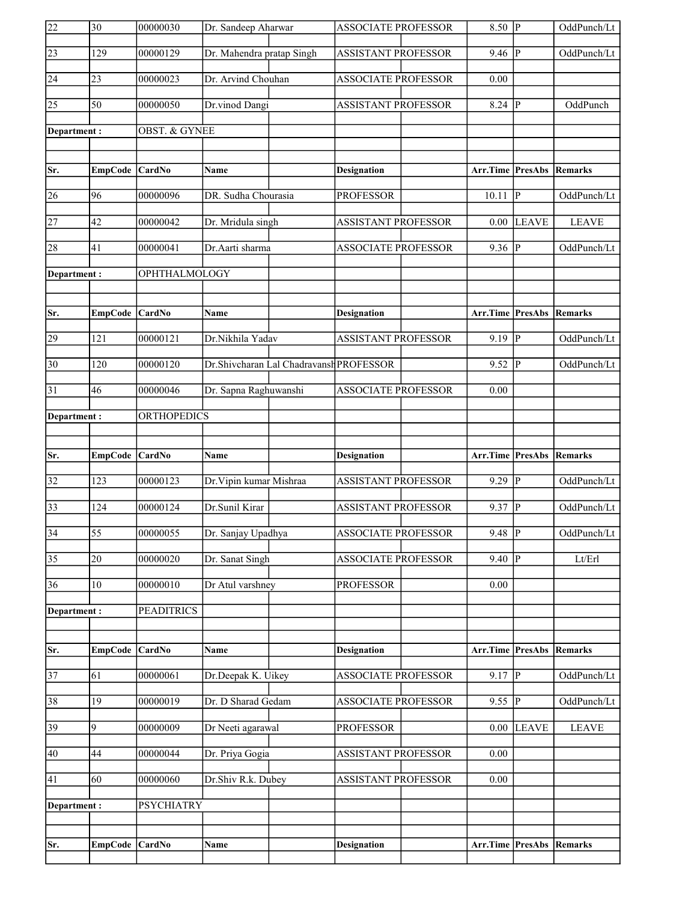| 22              | $\overline{30}$ | 00000030             | Dr. Sandeep Aharwar                     | <b>ASSOCIATE PROFESSOR</b> | $8.50$ P                        |                | OddPunch/Lt  |
|-----------------|-----------------|----------------------|-----------------------------------------|----------------------------|---------------------------------|----------------|--------------|
| $\sqrt{23}$     | 129             | 00000129             | Dr. Mahendra pratap Singh               | <b>ASSISTANT PROFESSOR</b> | 9.46                            | P              | OddPunch/Lt  |
| 24              | 23              | 00000023             | Dr. Arvind Chouhan                      | <b>ASSOCIATE PROFESSOR</b> | 0.00                            |                |              |
| 25              | 50              | 00000050             | Dr.vinod Dangi                          | <b>ASSISTANT PROFESSOR</b> | 8.24                            | P              | OddPunch     |
| Department:     |                 | OBST. & GYNEE        |                                         |                            |                                 |                |              |
|                 |                 |                      |                                         |                            |                                 |                |              |
| Sr.             | EmpCode         | <b>CardNo</b>        | Name                                    | Designation                | <b>Arr.Time PresAbs</b>         |                | Remarks      |
| 26              | 96              | 00000096             | DR. Sudha Chourasia                     | <b>PROFESSOR</b>           | 10.11                           | P              | OddPunch/Lt  |
| 27              | 42              | 00000042             | Dr. Mridula singh                       | <b>ASSISTANT PROFESSOR</b> | 0.00                            | <b>LEAVE</b>   | <b>LEAVE</b> |
| 28              | 41              | 00000041             | Dr.Aarti sharma                         | <b>ASSOCIATE PROFESSOR</b> | 9.36 $ P $                      |                | OddPunch/Lt  |
| Department:     |                 | <b>OPHTHALMOLOGY</b> |                                         |                            |                                 |                |              |
|                 |                 |                      |                                         |                            |                                 |                |              |
| Sr.             | EmpCode         | CardNo               | <b>Name</b>                             | <b>Designation</b>         | <b>Arr.Time PresAbs Remarks</b> |                |              |
| 29              | 121             | 00000121             | Dr.Nikhila Yadav                        | <b>ASSISTANT PROFESSOR</b> | $9.19$ P                        |                | OddPunch/Lt  |
| $\overline{30}$ | 120             | 00000120             | Dr.Shivcharan Lal Chadravansh PROFESSOR |                            | 9.52                            | P              | OddPunch/Lt  |
| 31              | 46              | 00000046             | Dr. Sapna Raghuwanshi                   | <b>ASSOCIATE PROFESSOR</b> | 0.00                            |                |              |
| Department:     |                 | ORTHOPEDICS          |                                         |                            |                                 |                |              |
|                 |                 |                      |                                         |                            |                                 |                |              |
|                 |                 |                      |                                         |                            |                                 |                |              |
| Sr.             | EmpCode CardNo  |                      | Name                                    | <b>Designation</b>         | <b>Arr.Time PresAbs Remarks</b> |                |              |
| 32              | 123             | 00000123             | Dr. Vipin kumar Mishraa                 | <b>ASSISTANT PROFESSOR</b> | $9.29$ P                        |                | OddPunch/Lt  |
| 33              | 124             | 00000124             | Dr.Sunil Kirar                          | <b>ASSISTANT PROFESSOR</b> | $9.37$ P                        |                | OddPunch/Lt  |
| $\overline{34}$ | $\overline{55}$ | 00000055             | Dr. Sanjay Upadhya                      | ASSOCIATE PROFESSOR        | $9.48$ P                        |                | OddPunch/Lt  |
| $\overline{35}$ | 20              | 00000020             | Dr. Sanat Singh                         | <b>ASSOCIATE PROFESSOR</b> | 9.40                            | $ {\bf p} $    | Lt/Erl       |
| $\overline{36}$ | 10              | 00000010             | Dr Atul varshney                        | <b>PROFESSOR</b>           | 0.00                            |                |              |
| Department:     |                 | <b>PEADITRICS</b>    |                                         |                            |                                 |                |              |
|                 |                 |                      |                                         |                            |                                 |                |              |
| Sr.             | <b>EmpCode</b>  | CardNo               | Name                                    | <b>Designation</b>         | <b>Arr.Time PresAbs Remarks</b> |                |              |
| 37              | 61              | 00000061             | Dr.Deepak K. Uikey                      | <b>ASSOCIATE PROFESSOR</b> | $9.17$ P                        |                | OddPunch/Lt  |
| $\overline{38}$ | 19              | 00000019             | Dr. D Sharad Gedam                      | <b>ASSOCIATE PROFESSOR</b> | 9.55                            | $\overline{P}$ | OddPunch/Lt  |
| 39              | 9               | 00000009             | Dr Neeti agarawal                       | <b>PROFESSOR</b>           | 0.00                            | <b>LEAVE</b>   | <b>LEAVE</b> |
| 40              | 44              | 00000044             | Dr. Priya Gogia                         | <b>ASSISTANT PROFESSOR</b> | 0.00                            |                |              |
| 41              | 60              | 00000060             | Dr.Shiv R.k. Dubey                      | <b>ASSISTANT PROFESSOR</b> | 0.00                            |                |              |
| Department:     |                 | <b>PSYCHIATRY</b>    |                                         |                            |                                 |                |              |
|                 |                 |                      |                                         |                            |                                 |                |              |